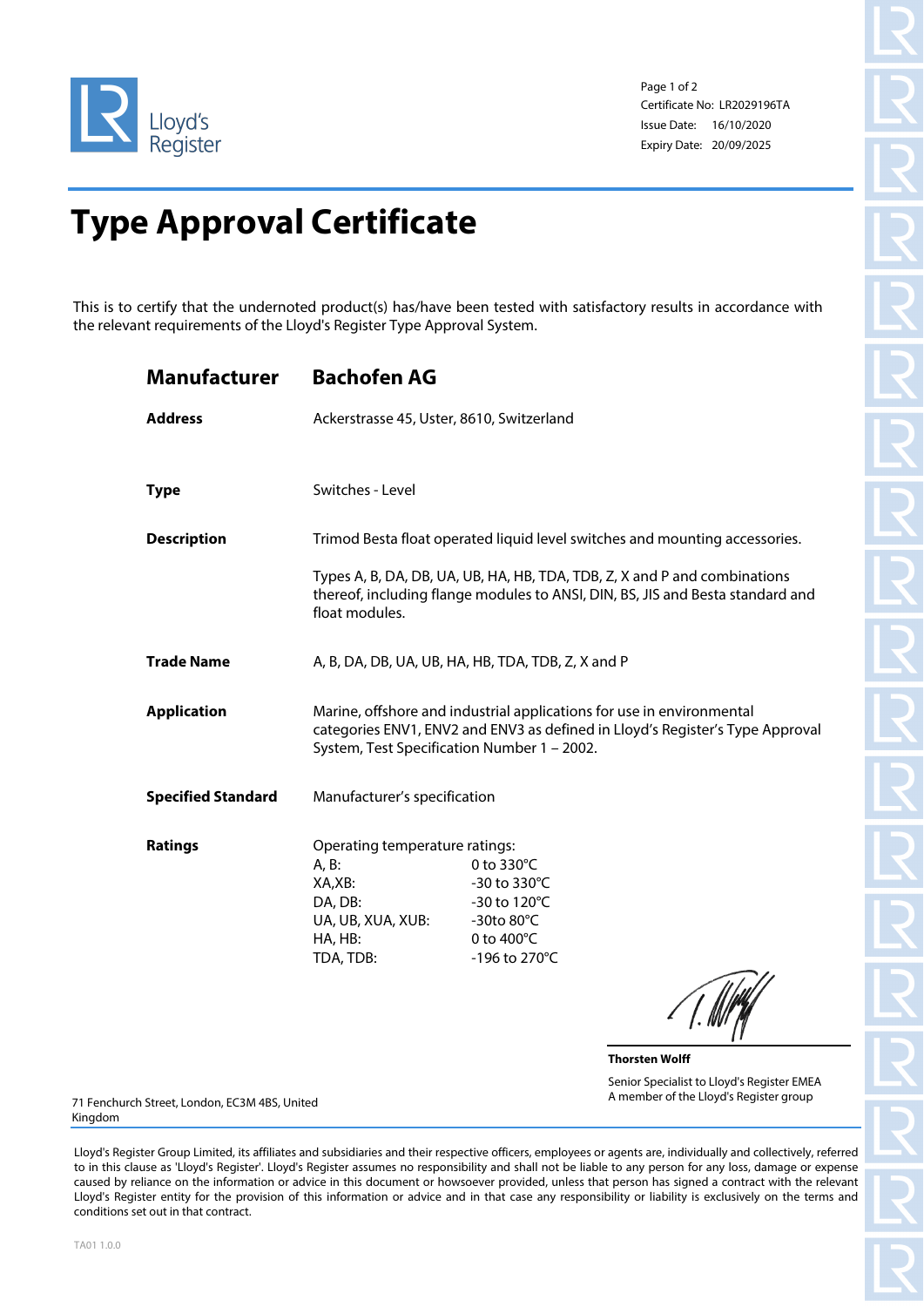

Page 1 of 2 Certificate No: LR2029196TA Issue Date: 16/10/2020 Expiry Date: 20/09/2025

## **Type Approval Certificate**

This is to certify that the undernoted product(s) has/have been tested with satisfactory results in accordance with the relevant requirements of the Lloyd's Register Type Approval System.

| <b>Manufacturer</b>       | <b>Bachofen AG</b>                                                                                                                                                                                    |                                                                                                                                                             |  |
|---------------------------|-------------------------------------------------------------------------------------------------------------------------------------------------------------------------------------------------------|-------------------------------------------------------------------------------------------------------------------------------------------------------------|--|
| <b>Address</b>            | Ackerstrasse 45, Uster, 8610, Switzerland                                                                                                                                                             |                                                                                                                                                             |  |
|                           |                                                                                                                                                                                                       |                                                                                                                                                             |  |
| <b>Type</b>               | Switches - Level                                                                                                                                                                                      |                                                                                                                                                             |  |
| <b>Description</b>        | Trimod Besta float operated liquid level switches and mounting accessories.                                                                                                                           |                                                                                                                                                             |  |
|                           | float modules.                                                                                                                                                                                        | Types A, B, DA, DB, UA, UB, HA, HB, TDA, TDB, Z, X and P and combinations<br>thereof, including flange modules to ANSI, DIN, BS, JIS and Besta standard and |  |
| <b>Trade Name</b>         | A, B, DA, DB, UA, UB, HA, HB, TDA, TDB, Z, X and P                                                                                                                                                    |                                                                                                                                                             |  |
| <b>Application</b>        | Marine, offshore and industrial applications for use in environmental<br>categories ENV1, ENV2 and ENV3 as defined in Lloyd's Register's Type Approval<br>System, Test Specification Number 1 - 2002. |                                                                                                                                                             |  |
| <b>Specified Standard</b> | Manufacturer's specification                                                                                                                                                                          |                                                                                                                                                             |  |
| Ratings                   | Operating temperature ratings:<br>A, B:<br>XA,XB:<br>DA, DB:<br>UA, UB, XUA, XUB:<br>HA, HB:<br>TDA, TDB:                                                                                             | 0 to 330°C<br>-30 to 330°C<br>-30 to 120°C<br>-30to 80°C<br>0 to 400°C<br>-196 to 270°C<br><i>A</i> Hill                                                    |  |

 $\angle$  |. INTER

**Thorsten Wolff** Senior Specialist to Lloyd's Register EMEA A member of the Lloyd's Register group

71 Fenchurch Street, London, EC3M 4BS, United Kingdom

Lloyd's Register Group Limited, its affiliates and subsidiaries and their respective officers, employees or agents are, individually and collectively, referred to in this clause as 'Lloyd's Register'. Lloyd's Register assumes no responsibility and shall not be liable to any person for any loss, damage or expense caused by reliance on the information or advice in this document or howsoever provided, unless that person has signed a contract with the relevant Lloyd's Register entity for the provision of this information or advice and in that case any responsibility or liability is exclusively on the terms and conditions set out in that contract.